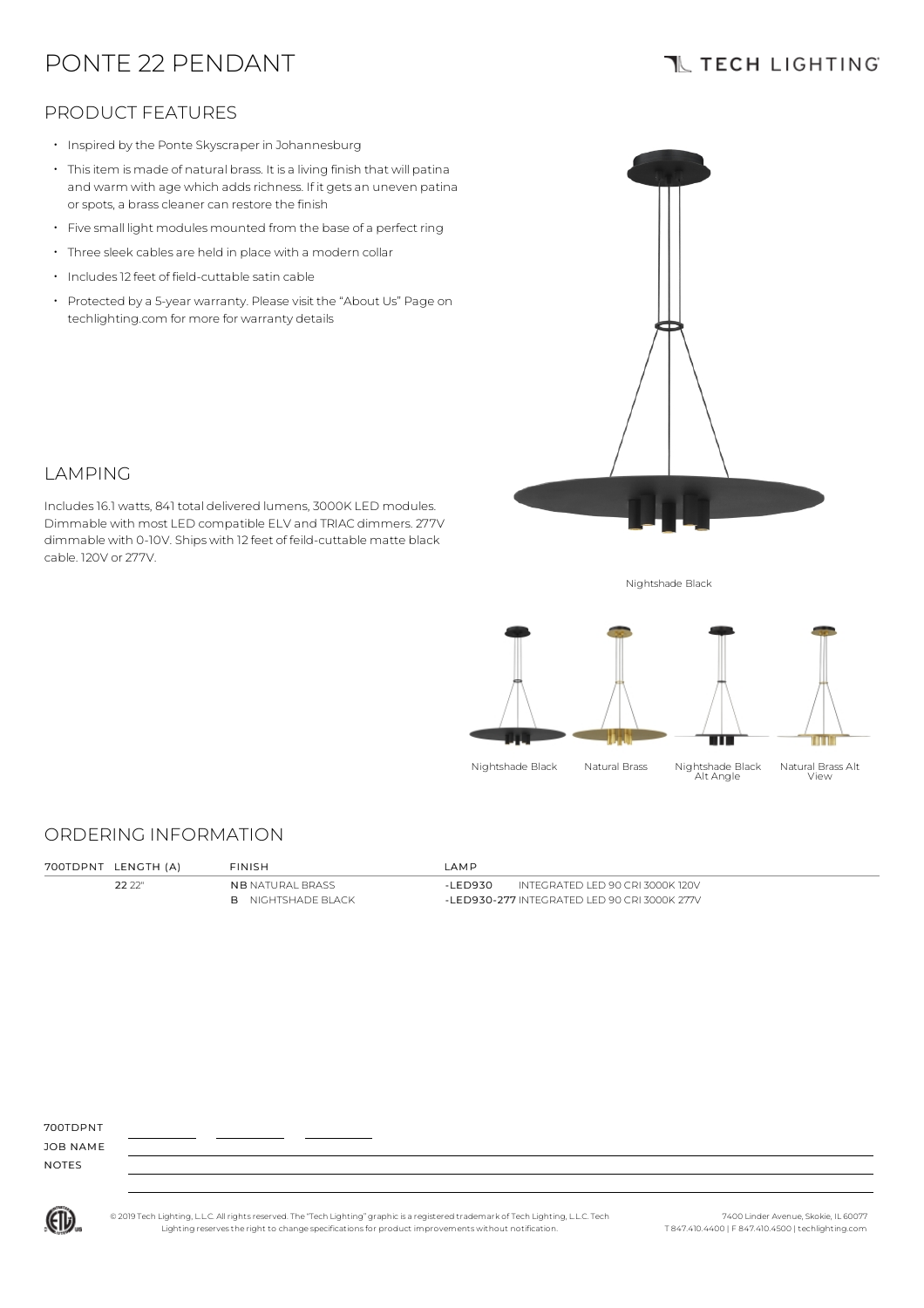# PONTE 22 PENDANT

# **TL TECH LIGHTING**

### PRODUCT FEATURES

- Inspired by the Ponte Skyscraper in Johannesburg
- Thisitem is made of natural brass. It is a living finish that will patina and warm with age which adds richness. If it gets an uneven patina or spots, a brass cleaner can restore the finish
- Five small light modules mounted from the base of <sup>a</sup> perfect ring
- Three sleek cables are held in place with <sup>a</sup> modern collar
- Includes12 feet of field-cuttable satin cable
- Protected by a 5-year warranty. Please visit the "About Us" Page on techlighting.com for more for warranty details



### LAMPING

Includes16.1 watts, 841 total delivered lumens, 3000K LED modules. Dimmable with most LED compatible ELV and TRIAC dimmers. 277V dimmable with 0-10V. Ships with 12 feet of feild-cuttable matte black cable. 120V or 277V.

Nightshade Black



### ORDERING INFORMATION

| 700TDPNT LENGTH (A) | <b>FINISH</b>             | IAMP     |                                              |
|---------------------|---------------------------|----------|----------------------------------------------|
| 22.22"              | <b>NB</b> NATURAL BRASS   | -I FD930 | INTEGRATED LED 90 CRI 3000K 120V             |
|                     | <b>B</b> NIGHTSHADE BLACK |          | -LED930-277 INTEGRATED LED 90 CRI 3000K 277V |

700TDPNT

JOB NAME NOTES



© 2019 Tech Lighting, L.L.C. All rightsreserved. The "Tech Lighting" graphicis a registered trademark of Tech Lighting, L.L.C. Tech Lighting reservesthe right to change specificationsfor product improvements without notification.